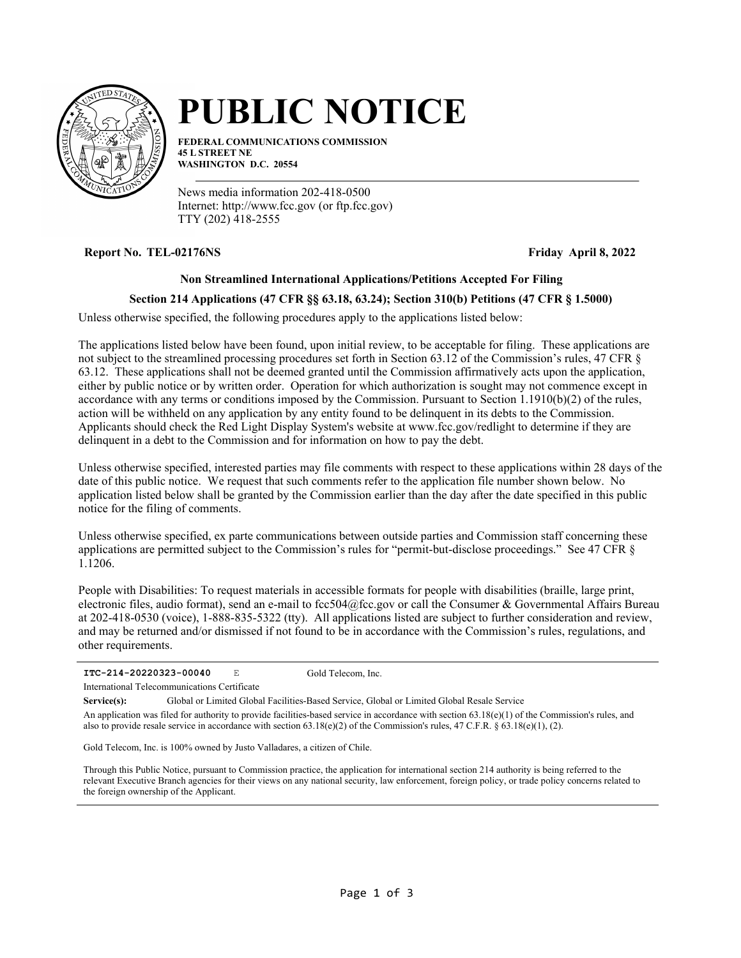

# **PUBLIC NOTICE**

**FEDERAL COMMUNICATIONS COMMISSION 45 L STREET NE WASHINGTON D.C. 20554**

News media information 202-418-0500 Internet: http://www.fcc.gov (or ftp.fcc.gov) TTY (202) 418-2555

# **Report No. TEL-02176NS Friday April 8, 2022**

# **Non Streamlined International Applications/Petitions Accepted For Filing**

# **Section 214 Applications (47 CFR §§ 63.18, 63.24); Section 310(b) Petitions (47 CFR § 1.5000)**

Unless otherwise specified, the following procedures apply to the applications listed below:

The applications listed below have been found, upon initial review, to be acceptable for filing. These applications are not subject to the streamlined processing procedures set forth in Section 63.12 of the Commission's rules, 47 CFR § 63.12. These applications shall not be deemed granted until the Commission affirmatively acts upon the application, either by public notice or by written order. Operation for which authorization is sought may not commence except in accordance with any terms or conditions imposed by the Commission. Pursuant to Section 1.1910(b)(2) of the rules, action will be withheld on any application by any entity found to be delinquent in its debts to the Commission. Applicants should check the Red Light Display System's website at www.fcc.gov/redlight to determine if they are delinquent in a debt to the Commission and for information on how to pay the debt.

Unless otherwise specified, interested parties may file comments with respect to these applications within 28 days of the date of this public notice. We request that such comments refer to the application file number shown below. No application listed below shall be granted by the Commission earlier than the day after the date specified in this public notice for the filing of comments.

Unless otherwise specified, ex parte communications between outside parties and Commission staff concerning these applications are permitted subject to the Commission's rules for "permit-but-disclose proceedings." See 47 CFR § 1.1206.

People with Disabilities: To request materials in accessible formats for people with disabilities (braille, large print, electronic files, audio format), send an e-mail to fcc504@fcc.gov or call the Consumer & Governmental Affairs Bureau at 202-418-0530 (voice), 1-888-835-5322 (tty). All applications listed are subject to further consideration and review, and may be returned and/or dismissed if not found to be in accordance with the Commission's rules, regulations, and other requirements.

**ITC-214-20220323-00040** E Gold Telecom, Inc.

International Telecommunications Certificate

**Service(s):** Global or Limited Global Facilities-Based Service, Global or Limited Global Resale Service

An application was filed for authority to provide facilities-based service in accordance with section  $63.18(e)(1)$  of the Commission's rules, and also to provide resale service in accordance with section  $63.18(e)(2)$  of the Commission's rules,  $47$  C.F.R. §  $63.18(e)(1)$ , (2).

Gold Telecom, Inc. is 100% owned by Justo Valladares, a citizen of Chile.

Through this Public Notice, pursuant to Commission practice, the application for international section 214 authority is being referred to the relevant Executive Branch agencies for their views on any national security, law enforcement, foreign policy, or trade policy concerns related to the foreign ownership of the Applicant.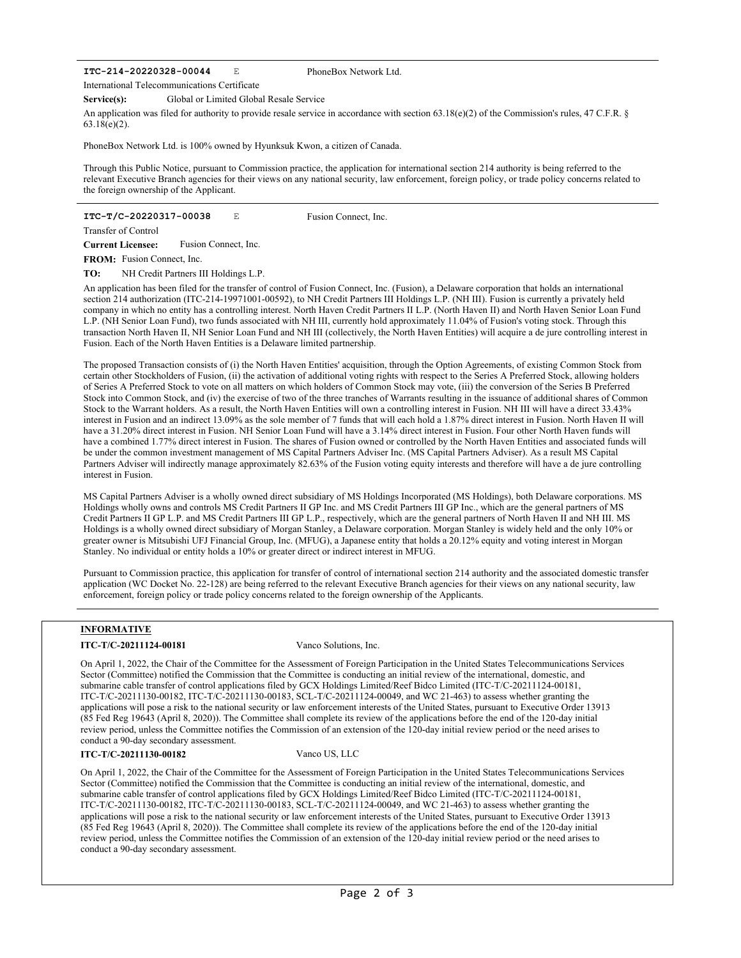**ITC-214-20220328-00044** E

PhoneBox Network Ltd.

International Telecommunications Certificate

**Service(s):** Global or Limited Global Resale Service

An application was filed for authority to provide resale service in accordance with section  $63.18(e)(2)$  of the Commission's rules,  $47$  C.F.R. § 63.18(e)(2).

PhoneBox Network Ltd. is 100% owned by Hyunksuk Kwon, a citizen of Canada.

Through this Public Notice, pursuant to Commission practice, the application for international section 214 authority is being referred to the relevant Executive Branch agencies for their views on any national security, law enforcement, foreign policy, or trade policy concerns related to the foreign ownership of the Applicant.

**ITC-T/C-20220317-00038** E

Fusion Connect, Inc.

Transfer of Control

**Current Licensee:** Fusion Connect, Inc.

**FROM:** Fusion Connect, Inc.

**TO:** NH Credit Partners III Holdings L.P.

An application has been filed for the transfer of control of Fusion Connect, Inc. (Fusion), a Delaware corporation that holds an international section 214 authorization (ITC-214-19971001-00592), to NH Credit Partners III Holdings L.P. (NH III). Fusion is currently a privately held company in which no entity has a controlling interest. North Haven Credit Partners II L.P. (North Haven II) and North Haven Senior Loan Fund L.P. (NH Senior Loan Fund), two funds associated with NH III, currently hold approximately 11.04% of Fusion's voting stock. Through this transaction North Haven II, NH Senior Loan Fund and NH III (collectively, the North Haven Entities) will acquire a de jure controlling interest in Fusion. Each of the North Haven Entities is a Delaware limited partnership.

The proposed Transaction consists of (i) the North Haven Entities' acquisition, through the Option Agreements, of existing Common Stock from certain other Stockholders of Fusion, (ii) the activation of additional voting rights with respect to the Series A Preferred Stock, allowing holders of Series A Preferred Stock to vote on all matters on which holders of Common Stock may vote, (iii) the conversion of the Series B Preferred Stock into Common Stock, and (iv) the exercise of two of the three tranches of Warrants resulting in the issuance of additional shares of Common Stock to the Warrant holders. As a result, the North Haven Entities will own a controlling interest in Fusion. NH III will have a direct 33.43% interest in Fusion and an indirect 13.09% as the sole member of 7 funds that will each hold a 1.87% direct interest in Fusion. North Haven II will have a 31.20% direct interest in Fusion. NH Senior Loan Fund will have a 3.14% direct interest in Fusion. Four other North Haven funds will have a combined 1.77% direct interest in Fusion. The shares of Fusion owned or controlled by the North Haven Entities and associated funds will be under the common investment management of MS Capital Partners Adviser Inc. (MS Capital Partners Adviser). As a result MS Capital Partners Adviser will indirectly manage approximately 82.63% of the Fusion voting equity interests and therefore will have a de jure controlling interest in Fusion.

MS Capital Partners Adviser is a wholly owned direct subsidiary of MS Holdings Incorporated (MS Holdings), both Delaware corporations. MS Holdings wholly owns and controls MS Credit Partners II GP Inc. and MS Credit Partners III GP Inc., which are the general partners of MS Credit Partners II GP L.P. and MS Credit Partners III GP L.P., respectively, which are the general partners of North Haven II and NH III. MS Holdings is a wholly owned direct subsidiary of Morgan Stanley, a Delaware corporation. Morgan Stanley is widely held and the only 10% or greater owner is Mitsubishi UFJ Financial Group, Inc. (MFUG), a Japanese entity that holds a 20.12% equity and voting interest in Morgan Stanley. No individual or entity holds a 10% or greater direct or indirect interest in MFUG.

Pursuant to Commission practice, this application for transfer of control of international section 214 authority and the associated domestic transfer application (WC Docket No. 22-128) are being referred to the relevant Executive Branch agencies for their views on any national security, law enforcement, foreign policy or trade policy concerns related to the foreign ownership of the Applicants.

#### **INFORMATIVE**

#### **ITC-T/C-20211124-00181** Vanco Solutions, Inc.

On April 1, 2022, the Chair of the Committee for the Assessment of Foreign Participation in the United States Telecommunications Services Sector (Committee) notified the Commission that the Committee is conducting an initial review of the international, domestic, and submarine cable transfer of control applications filed by GCX Holdings Limited/Reef Bidco Limited (ITC-T/C-20211124-00181, ITC-T/C-20211130-00182, ITC-T/C-20211130-00183, SCL-T/C-20211124-00049, and WC 21-463) to assess whether granting the applications will pose a risk to the national security or law enforcement interests of the United States, pursuant to Executive Order 13913 (85 Fed Reg 19643 (April 8, 2020)). The Committee shall complete its review of the applications before the end of the 120-day initial review period, unless the Committee notifies the Commission of an extension of the 120-day initial review period or the need arises to conduct a 90-day secondary assessment.

#### **ITC-T/C-20211130-00182** Vanco US, LLC

On April 1, 2022, the Chair of the Committee for the Assessment of Foreign Participation in the United States Telecommunications Services Sector (Committee) notified the Commission that the Committee is conducting an initial review of the international, domestic, and submarine cable transfer of control applications filed by GCX Holdings Limited/Reef Bidco Limited (ITC-T/C-20211124-00181, ITC-T/C-20211130-00182, ITC-T/C-20211130-00183, SCL-T/C-20211124-00049, and WC 21-463) to assess whether granting the applications will pose a risk to the national security or law enforcement interests of the United States, pursuant to Executive Order 13913 (85 Fed Reg 19643 (April 8, 2020)). The Committee shall complete its review of the applications before the end of the 120-day initial review period, unless the Committee notifies the Commission of an extension of the 120-day initial review period or the need arises to conduct a 90-day secondary assessment.